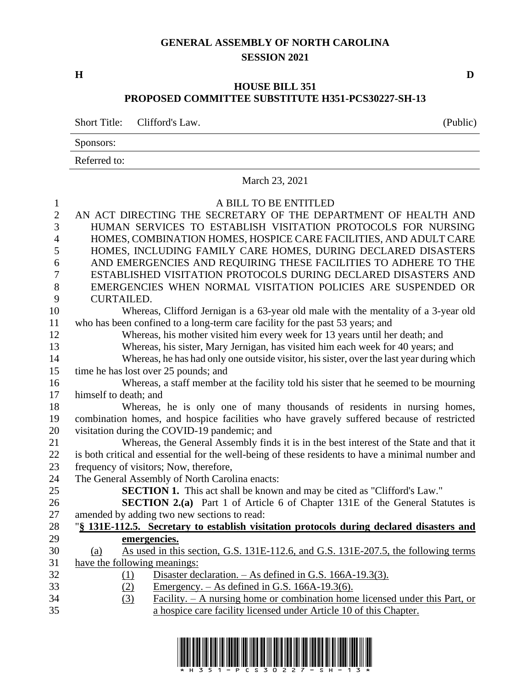## **GENERAL ASSEMBLY OF NORTH CAROLINA SESSION 2021**

## **HOUSE BILL 351 PROPOSED COMMITTEE SUBSTITUTE H351-PCS30227-SH-13**

Short Title: Clifford's Law. (Public)

Sponsors:

Referred to:

## March 23, 2021

| $\mathbf{1}$   | A BILL TO BE ENTITLED                                                                             |  |  |  |
|----------------|---------------------------------------------------------------------------------------------------|--|--|--|
| $\overline{2}$ | AN ACT DIRECTING THE SECRETARY OF THE DEPARTMENT OF HEALTH AND                                    |  |  |  |
| $\overline{3}$ | HUMAN SERVICES TO ESTABLISH VISITATION PROTOCOLS FOR NURSING                                      |  |  |  |
| $\overline{4}$ | HOMES, COMBINATION HOMES, HOSPICE CARE FACILITIES, AND ADULT CARE                                 |  |  |  |
| 5              | HOMES, INCLUDING FAMILY CARE HOMES, DURING DECLARED DISASTERS                                     |  |  |  |
| 6              | AND EMERGENCIES AND REQUIRING THESE FACILITIES TO ADHERE TO THE                                   |  |  |  |
| $\overline{7}$ | ESTABLISHED VISITATION PROTOCOLS DURING DECLARED DISASTERS AND                                    |  |  |  |
| 8              | EMERGENCIES WHEN NORMAL VISITATION POLICIES ARE SUSPENDED OR                                      |  |  |  |
| 9              | <b>CURTAILED.</b>                                                                                 |  |  |  |
| 10             | Whereas, Clifford Jernigan is a 63-year old male with the mentality of a 3-year old               |  |  |  |
| 11             | who has been confined to a long-term care facility for the past 53 years; and                     |  |  |  |
| 12             | Whereas, his mother visited him every week for 13 years until her death; and                      |  |  |  |
| 13             | Whereas, his sister, Mary Jernigan, has visited him each week for 40 years; and                   |  |  |  |
| 14             | Whereas, he has had only one outside visitor, his sister, over the last year during which         |  |  |  |
| 15             | time he has lost over 25 pounds; and                                                              |  |  |  |
| 16             | Whereas, a staff member at the facility told his sister that he seemed to be mourning             |  |  |  |
| 17             | himself to death; and                                                                             |  |  |  |
| 18             | Whereas, he is only one of many thousands of residents in nursing homes,                          |  |  |  |
| 19             | combination homes, and hospice facilities who have gravely suffered because of restricted         |  |  |  |
| 20             | visitation during the COVID-19 pandemic; and                                                      |  |  |  |
| 21             | Whereas, the General Assembly finds it is in the best interest of the State and that it           |  |  |  |
| 22             | is both critical and essential for the well-being of these residents to have a minimal number and |  |  |  |
| 23             | frequency of visitors; Now, therefore,                                                            |  |  |  |
| 24             | The General Assembly of North Carolina enacts:                                                    |  |  |  |
| 25             | <b>SECTION 1.</b> This act shall be known and may be cited as "Clifford's Law."                   |  |  |  |
| 26             | <b>SECTION 2.(a)</b> Part 1 of Article 6 of Chapter 131E of the General Statutes is               |  |  |  |
| 27             | amended by adding two new sections to read:                                                       |  |  |  |
| 28             | "§ 131E-112.5. Secretary to establish visitation protocols during declared disasters and          |  |  |  |
| 29             | emergencies.                                                                                      |  |  |  |
| 30             | As used in this section, G.S. 131E-112.6, and G.S. 131E-207.5, the following terms<br>(a)         |  |  |  |
| 31             | have the following meanings:                                                                      |  |  |  |
| 32             | Disaster declaration. - As defined in G.S. 166A-19.3(3).<br>(1)                                   |  |  |  |
| 33             | Emergency. $-$ As defined in G.S. 166A-19.3(6).<br>(2)                                            |  |  |  |
| 34             | Facility. – A nursing home or combination home licensed under this Part, or<br>(3)                |  |  |  |
| 35             | a hospice care facility licensed under Article 10 of this Chapter.                                |  |  |  |
|                |                                                                                                   |  |  |  |

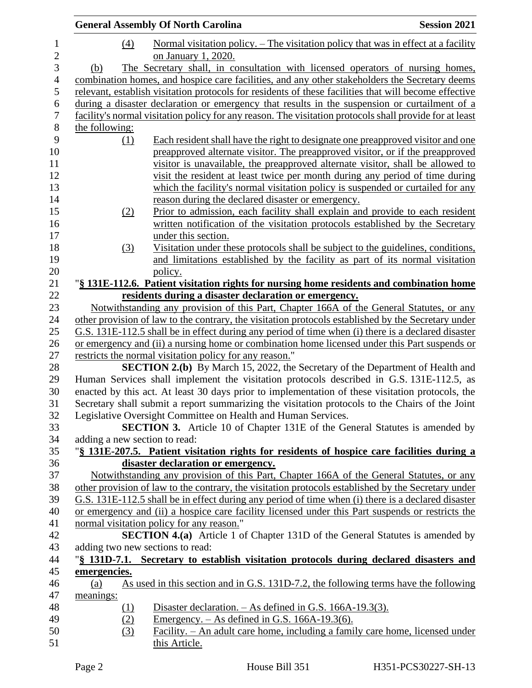|                                                               | <b>General Assembly Of North Carolina</b>                                                               | <b>Session 2021</b> |  |
|---------------------------------------------------------------|---------------------------------------------------------------------------------------------------------|---------------------|--|
| (4)                                                           | <u>Normal visitation policy. – The visitation policy that was in effect at a facility</u>               |                     |  |
|                                                               | on January 1, 2020.                                                                                     |                     |  |
| (b)                                                           | The Secretary shall, in consultation with licensed operators of nursing homes,                          |                     |  |
|                                                               | combination homes, and hospice care facilities, and any other stakeholders the Secretary deems          |                     |  |
|                                                               | relevant, establish visitation protocols for residents of these facilities that will become effective   |                     |  |
|                                                               | during a disaster declaration or emergency that results in the suspension or curtailment of a           |                     |  |
|                                                               | facility's normal visitation policy for any reason. The visitation protocols shall provide for at least |                     |  |
| the following:                                                |                                                                                                         |                     |  |
| (1)                                                           | Each resident shall have the right to designate one preapproved visitor and one                         |                     |  |
|                                                               | preapproved alternate visitor. The preapproved visitor, or if the preapproved                           |                     |  |
|                                                               | visitor is unavailable, the preapproved alternate visitor, shall be allowed to                          |                     |  |
|                                                               | visit the resident at least twice per month during any period of time during                            |                     |  |
|                                                               | which the facility's normal visitation policy is suspended or curtailed for any                         |                     |  |
|                                                               | reason during the declared disaster or emergency.                                                       |                     |  |
| (2)                                                           | Prior to admission, each facility shall explain and provide to each resident                            |                     |  |
|                                                               | written notification of the visitation protocols established by the Secretary                           |                     |  |
|                                                               | under this section.                                                                                     |                     |  |
| (3)                                                           | Visitation under these protocols shall be subject to the guidelines, conditions,                        |                     |  |
|                                                               | and limitations established by the facility as part of its normal visitation                            |                     |  |
|                                                               | policy.                                                                                                 |                     |  |
|                                                               | "§ 131E-112.6. Patient visitation rights for nursing home residents and combination home                |                     |  |
|                                                               | residents during a disaster declaration or emergency.                                                   |                     |  |
|                                                               | Notwithstanding any provision of this Part, Chapter 166A of the General Statutes, or any                |                     |  |
|                                                               | other provision of law to the contrary, the visitation protocols established by the Secretary under     |                     |  |
|                                                               | G.S. 131E-112.5 shall be in effect during any period of time when (i) there is a declared disaster      |                     |  |
|                                                               | or emergency and (ii) a nursing home or combination home licensed under this Part suspends or           |                     |  |
|                                                               | restricts the normal visitation policy for any reason."                                                 |                     |  |
|                                                               | <b>SECTION 2.(b)</b> By March 15, 2022, the Secretary of the Department of Health and                   |                     |  |
|                                                               | Human Services shall implement the visitation protocols described in G.S. 131E-112.5, as                |                     |  |
|                                                               | enacted by this act. At least 30 days prior to implementation of these visitation protocols, the        |                     |  |
|                                                               | Secretary shall submit a report summarizing the visitation protocols to the Chairs of the Joint         |                     |  |
| Legislative Oversight Committee on Health and Human Services. |                                                                                                         |                     |  |
|                                                               | SECTION 3. Article 10 of Chapter 131E of the General Statutes is amended by                             |                     |  |
| adding a new section to read:                                 |                                                                                                         |                     |  |
|                                                               | "§ 131E-207.5. Patient visitation rights for residents of hospice care facilities during a              |                     |  |
|                                                               | disaster declaration or emergency.                                                                      |                     |  |
|                                                               | Notwithstanding any provision of this Part, Chapter 166A of the General Statutes, or any                |                     |  |
|                                                               | other provision of law to the contrary, the visitation protocols established by the Secretary under     |                     |  |
|                                                               | G.S. 131E-112.5 shall be in effect during any period of time when (i) there is a declared disaster      |                     |  |
|                                                               | or emergency and (ii) a hospice care facility licensed under this Part suspends or restricts the        |                     |  |
|                                                               | normal visitation policy for any reason."                                                               |                     |  |
|                                                               | <b>SECTION 4.(a)</b> Article 1 of Chapter 131D of the General Statutes is amended by                    |                     |  |
| adding two new sections to read:                              |                                                                                                         |                     |  |
|                                                               | "\\$ 131D-7.1. Secretary to establish visitation protocols during declared disasters and                |                     |  |
| emergencies.                                                  |                                                                                                         |                     |  |
| (a)                                                           | As used in this section and in G.S. 131D-7.2, the following terms have the following                    |                     |  |
| meanings:                                                     |                                                                                                         |                     |  |
| (1)                                                           | Disaster declaration. $-$ As defined in G.S. 166A-19.3(3).                                              |                     |  |
| (2)                                                           | <u>Emergency. – As defined in G.S. 166A-19.3(6).</u>                                                    |                     |  |
| (3)                                                           | Facility. - An adult care home, including a family care home, licensed under                            |                     |  |
|                                                               | this Article.                                                                                           |                     |  |